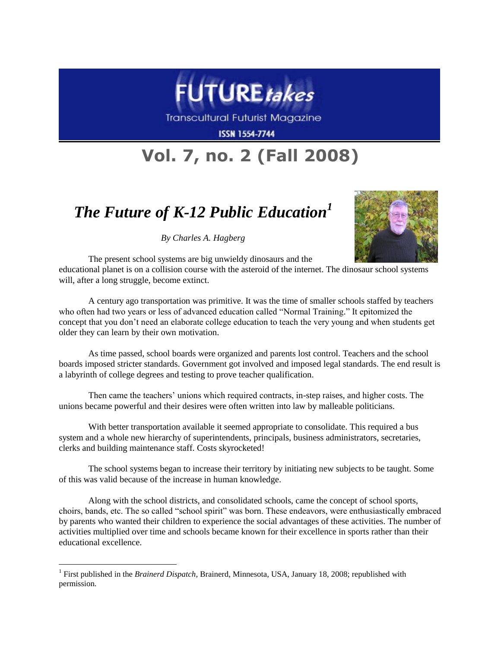

**Transcultural Futurist Magazine** 

**ISSN 1554-7744** 

## **Vol. 7, no. 2 (Fall 2008)**

## *The Future of K-12 Public Education<sup>1</sup>*

*By Charles A. Hagberg*



The present school systems are big unwieldy dinosaurs and the educational planet is on a collision course with the asteroid of the internet. The dinosaur school systems will, after a long struggle, become extinct.

A century ago transportation was primitive. It was the time of smaller schools staffed by teachers who often had two years or less of advanced education called "Normal Training." It epitomized the concept that you don't need an elaborate college education to teach the very young and when students get older they can learn by their own motivation.

As time passed, school boards were organized and parents lost control. Teachers and the school boards imposed stricter standards. Government got involved and imposed legal standards. The end result is a labyrinth of college degrees and testing to prove teacher qualification.

Then came the teachers' unions which required contracts, in-step raises, and higher costs. The unions became powerful and their desires were often written into law by malleable politicians.

With better transportation available it seemed appropriate to consolidate. This required a bus system and a whole new hierarchy of superintendents, principals, business administrators, secretaries, clerks and building maintenance staff. Costs skyrocketed!

The school systems began to increase their territory by initiating new subjects to be taught. Some of this was valid because of the increase in human knowledge.

Along with the school districts, and consolidated schools, came the concept of school sports, choirs, bands, etc. The so called "school spirit" was born. These endeavors, were enthusiastically embraced by parents who wanted their children to experience the social advantages of these activities. The number of activities multiplied over time and schools became known for their excellence in sports rather than their educational excellence.

 $\overline{a}$ 

<sup>&</sup>lt;sup>1</sup> First published in the *Brainerd Dispatch*, Brainerd, Minnesota, USA, January 18, 2008; republished with permission.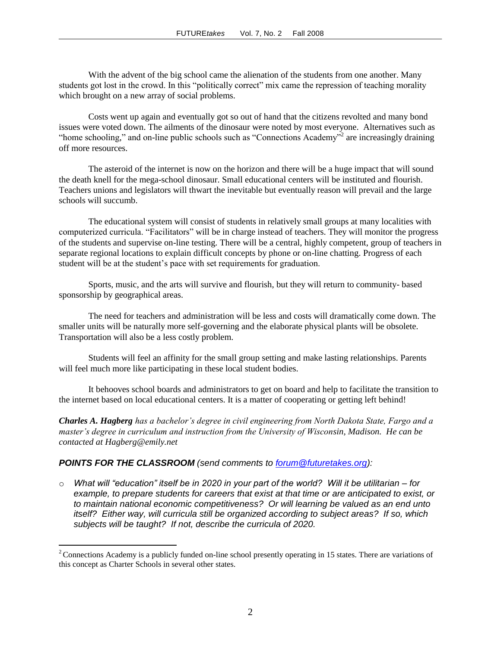With the advent of the big school came the alienation of the students from one another. Many students got lost in the crowd. In this "politically correct" mix came the repression of teaching morality which brought on a new array of social problems.

Costs went up again and eventually got so out of hand that the citizens revolted and many bond issues were voted down. The ailments of the dinosaur were noted by most everyone. Alternatives such as "home schooling," and on-line public schools such as "Connections Academy"<sup>2</sup> are increasingly draining off more resources.

The asteroid of the internet is now on the horizon and there will be a huge impact that will sound the death knell for the mega-school dinosaur. Small educational centers will be instituted and flourish. Teachers unions and legislators will thwart the inevitable but eventually reason will prevail and the large schools will succumb.

The educational system will consist of students in relatively small groups at many localities with computerized curricula. "Facilitators" will be in charge instead of teachers. They will monitor the progress of the students and supervise on-line testing. There will be a central, highly competent, group of teachers in separate regional locations to explain difficult concepts by phone or on-line chatting. Progress of each student will be at the student's pace with set requirements for graduation.

Sports, music, and the arts will survive and flourish, but they will return to community- based sponsorship by geographical areas.

The need for teachers and administration will be less and costs will dramatically come down. The smaller units will be naturally more self-governing and the elaborate physical plants will be obsolete. Transportation will also be a less costly problem.

Students will feel an affinity for the small group setting and make lasting relationships. Parents will feel much more like participating in these local student bodies.

It behooves school boards and administrators to get on board and help to facilitate the transition to the internet based on local educational centers. It is a matter of cooperating or getting left behind!

*Charles A. Hagberg has a bachelor's degree in civil engineering from North Dakota State, Fargo and a master's degree in curriculum and instruction from the University of Wisconsin, Madison. He can be contacted at Hagberg@emily.net*

## *POINTS FOR THE CLASSROOM (send comments to [forum@futuretakes.org\)](mailto:forum@futuretakes.org):*

 $\overline{a}$ 

o *What will "education" itself be in 2020 in your part of the world? Will it be utilitarian – for example, to prepare students for careers that exist at that time or are anticipated to exist, or to maintain national economic competitiveness? Or will learning be valued as an end unto itself? Either way, will curricula still be organized according to subject areas? If so, which subjects will be taught? If not, describe the curricula of 2020.*

 $2$  Connections Academy is a publicly funded on-line school presently operating in 15 states. There are variations of this concept as Charter Schools in several other states.